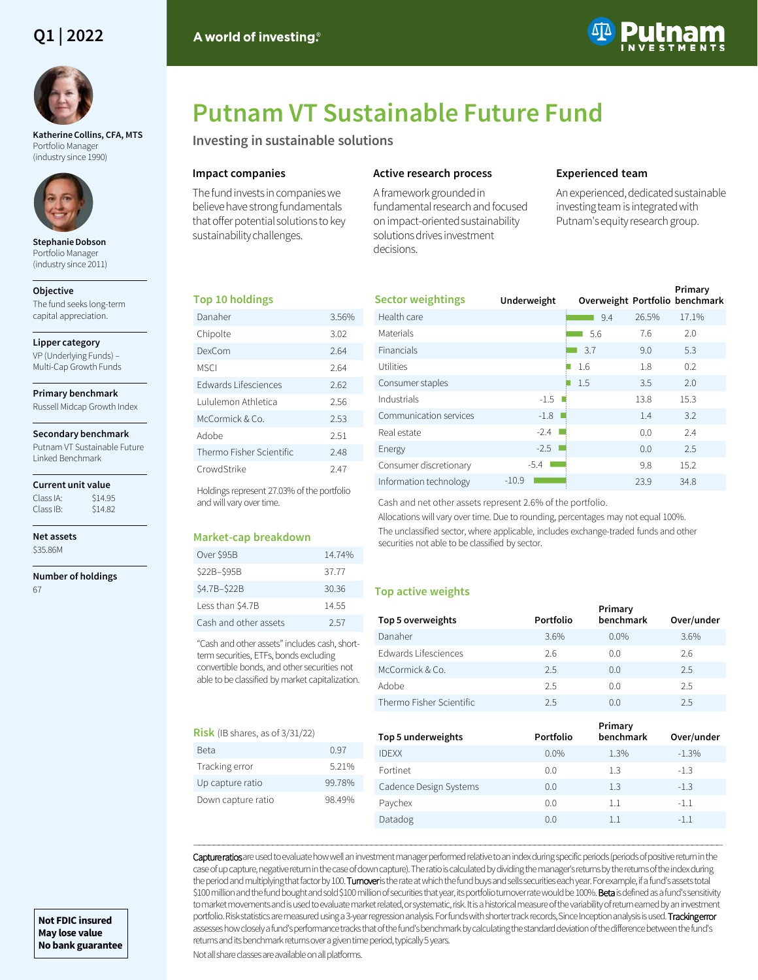# **Q1 | 2022**



**Katherine Collins, CFA, MTS**  Portfolio Manager (industry since 1990)



**Stephanie Dobson**  Portfolio Manager (industry since 2011)

**Objective**

The fund seeks long-term capital appreciation.

#### **Lipper category**

VP (Underlying Funds) – Multi-Cap Growth Funds

#### **Primary benchmark**

Russell Midcap Growth Index

#### **Secondary benchmark**

Putnam VT Sustainable Future Linked Benchmark

## **Current unit value**

Class IA: \$14.95<br>Class IB: \$14.82 Class IB:

**Net assets** \$35.86M

**Number of holdings**

67



# **Putnam VT Sustainable Future Fund**

**Investing in sustainable solutions**

# **Impact companies**

The fund invests in companies we believe have strong fundamentals that offer potential solutions to key sustainability challenges.

# **Active research process**

A framework grounded in fundamental research and focused on impact-oriented sustainability solutions drives investment decisions.

# **Experienced team**

An experienced, dedicated sustainable investing team is integrated with Putnam's equity research group.

# **Top 10 holdings**

| Danaher                  | 3.56% |
|--------------------------|-------|
| Chipolte                 | 3.02  |
| DexCom                   | 2.64  |
| MSCI                     | 2.64  |
| Edwards Lifesciences     | 2.62  |
| Lululemon Athletica      | 2.56  |
| McCormick & Co.          | 2.53  |
| Adobe                    | 2.51  |
| Thermo Fisher Scientific | 2.48  |
| CrowdStrike              | 247   |

Holdings represent 27.03% of the portfolio and will vary over time.

# **Market-cap breakdown**

| Over \$95B            | 14.74% |
|-----------------------|--------|
| \$22B-\$95B           | 37.77  |
| \$4.7B-\$22B          | 30.36  |
| Less than \$4.7B      | 14.55  |
| Cash and other assets | 2.57   |

"Cash and other assets" includes cash, shortterm securities, ETFs, bonds excluding convertible bonds, and other securities not able to be classified by market capitalization.

# **Risk** (IB shares, as of 3/31/22)

| Beta               | 0.97   |
|--------------------|--------|
| Tracking error     | 5.21%  |
| Up capture ratio   | 99.78% |
| Down capture ratio | 98 49% |
|                    |        |

| <b>Sector weightings</b> | Underweight | Overweight Portfolio benchmark |       | Primary |
|--------------------------|-------------|--------------------------------|-------|---------|
| Health care              |             | 9.4                            | 26.5% | 17.1%   |
| Materials                |             | 5.6                            | 7.6   | 2.0     |
| <b>Financials</b>        |             | 3.7                            | 9.0   | 5.3     |
| Utilities                |             | 1.6                            | 1.8   | 0.2     |
| Consumer staples         |             | 1.5                            | 3.5   | 2.0     |
| Industrials              | $-1.5$      |                                | 13.8  | 15.3    |
| Communication services   | $-1.8$      |                                | 1.4   | 3.2     |
| Real estate              | $-2.4$      |                                | 0.0   | 2.4     |
| Energy                   | $-2.5$      |                                | 0.0   | 2.5     |
| Consumer discretionary   | $-5.4$      |                                | 9.8   | 15.2    |
| Information technology   | $-10.9$     |                                | 23.9  | 34.8    |

Cash and net other assets represent 2.6% of the portfolio.

Allocations will vary over time. Due to rounding, percentages may not equal 100%. The unclassified sector, where applicable, includes exchange-traded funds and other securities not able to be classified by sector.

# **Top active weights**

| Top 5 overweights        | Portfolio | Primary<br>benchmark | Over/under |
|--------------------------|-----------|----------------------|------------|
| Danaher                  | 3.6%      | 0.0%                 | 3.6%       |
| Edwards Lifesciences     | 2.6       | 0.0                  | 2.6        |
| McCormick & Co.          | 2.5       | 0.0                  | 2.5        |
| Adobe                    | 2.5       | 0.0                  | 2.5        |
| Thermo Fisher Scientific | 2.5       | 0.0                  | 2.5        |

| Top 5 underweights     | Portfolio | Primary<br>benchmark | Over/under |
|------------------------|-----------|----------------------|------------|
| <b>IDFXX</b>           | $0.0\%$   | 1.3%                 | $-1.3%$    |
| Fortinet               | 0.0       | 1.3                  | $-1.3$     |
| Cadence Design Systems | 0.0       | 1.3                  | $-1.3$     |
| Paychex                | 0.0       | 1.1                  | $-1.1$     |
| Datadog                | 0.0       |                      | $-1.1$     |

――――――――――――――――――――――――――――――――――――――――――――――――――――――――――――――――――――――――――――――――――――――――――――――――――――――――――― Capture ratios are used to evaluate how well an investment manager performed relative to an index during specific periods (periods of positive return in the case of up capture, negative return in the case of down capture). The ratio is calculated by dividing the manager's returns by the returns of the index during the period and multiplying that factor by 100. Turnoveris the rate at which the fund buys and sells securities each year. For example, if a fund's assets total \$100 million and the fund bought and sold \$100 million of securities that year, its portfolio turnover rate would be 100%. Beta is defined as a fund's sensitivity to market movements and is used to evaluate market related, or systematic, risk. It is a historical measure of the variability of return earned by an investment portfolio. Risk statistics are measured using a 3-year regression analysis. For funds with shorter track records, Since Inception analysis is used. Tracking error assesses how closely a fund's performance tracks that of the fund's benchmark by calculating the standard deviation of the difference between the fund's returns and its benchmark returns over a given time period, typically 5 years.

Not all share classes are available on all platforms.

**Not FDIC insured May lose value No bank guarantee**